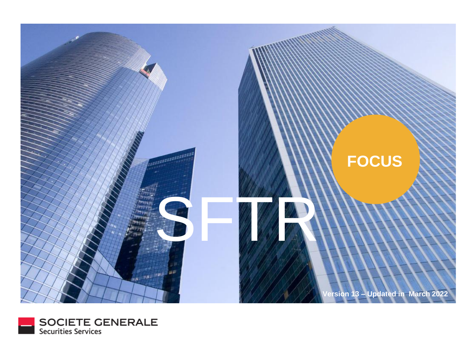

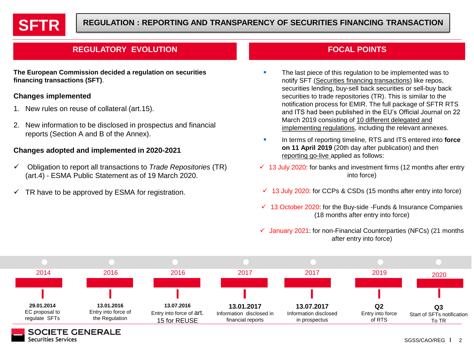

# **REGULATORY EVOLUTION FOCAL POINTS**

**The European Commission decided a regulation on securities financing transactions (SFT)**.

## **Changes implemented**

**Securities Services** 

- 1. New rules on reuse of collateral (art.15).
- 2. New information to be disclosed in prospectus and financial reports (Section A and B of the Annex).

## **Changes adopted and implemented in 2020-2021**

- ✓ Obligation to report all transactions to *Trade Repositories* (TR) (art.4) - ESMA Public Statement as of 19 March 2020.
- $\checkmark$  TR have to be approved by ESMA for registration.

- The last piece of this regulation to be implemented was to notify SFT (Securities financing transactions) like repos, securities lending, buy-sell back securities or sell-buy back securities to trade repositories (TR). This is similar to the notification process for EMIR. The full package of SFTR RTS and ITS had been published in the EU's Official Journal on 22 March 2019 consisting of 10 different delegated and implementing regulations, including the relevant annexes.
- In terms of reporting timeline, RTS and ITS entered into **force on 11 April 2019** (20th day after publication) and then reporting go-live applied as follows:
- $\checkmark$  13 July 2020: for banks and investment firms (12 months after entry into force)
- $\checkmark$  13 July 2020: for CCPs & CSDs (15 months after entry into force)
- $\checkmark$  13 October 2020: for the Buy-side -Funds & Insurance Companies (18 months after entry into force)
- $\checkmark$  January 2021: for non-Financial Counterparties (NFCs) (21 months after entry into force)